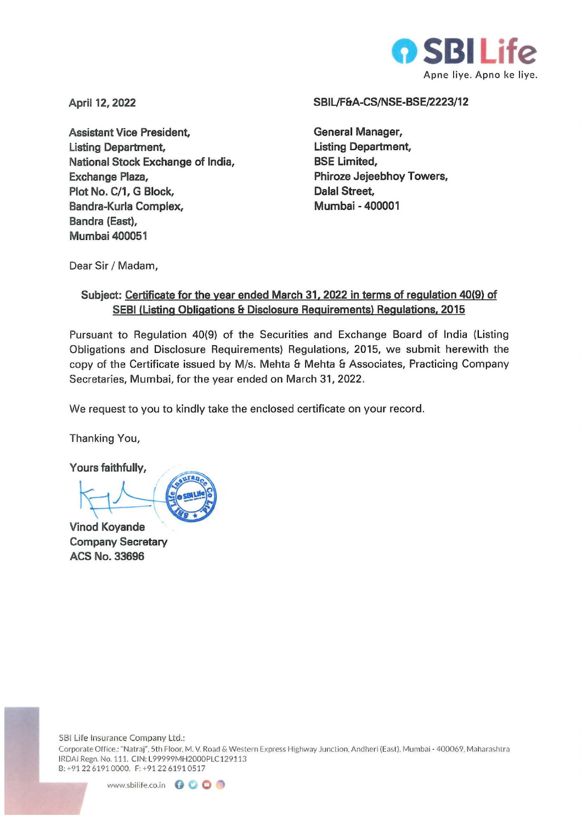

**April 12, 2022** 

**Assistant Vice President, Listing Department, National Stock Exchange of India, Exchange Plaza, Plot No. C/1, G Block, Bandra-Kurla Complex, Bandra (East), Mumbai 400051** 

## **SBIL/F&A-CS/NSE-BSE/2223/12**

**General Manager, Listing Department, BSE Limited, Phiroze Jejeebhoy Towers, Dalal Street, Mumbai - 400001** 

Dear Sir / Madam,

## **Subject: Certificate for the year ended March 31. 2022 in terms of regulation 40(9) of SEBI (Listing Obligations & Disclosure Requirements) Regulations, 2015**

Pursuant to Regulation 40(9) of the Securities and Exchange Board of India (Listing Obligations and Disclosure Requirements) Regulations, 2015, we submit herewith the copy of the Certificate issued by M/s. Mehta & Mehta & Associates, Practicing Company Secretaries, Mumbai, for the year ended on March 31, 2022.

We request to you to kindly take the enclosed certificate on your record.

Thanking You,

**Yours faithfully,** 

**Vinod Koyande Company Secretary ACS No. 33696**